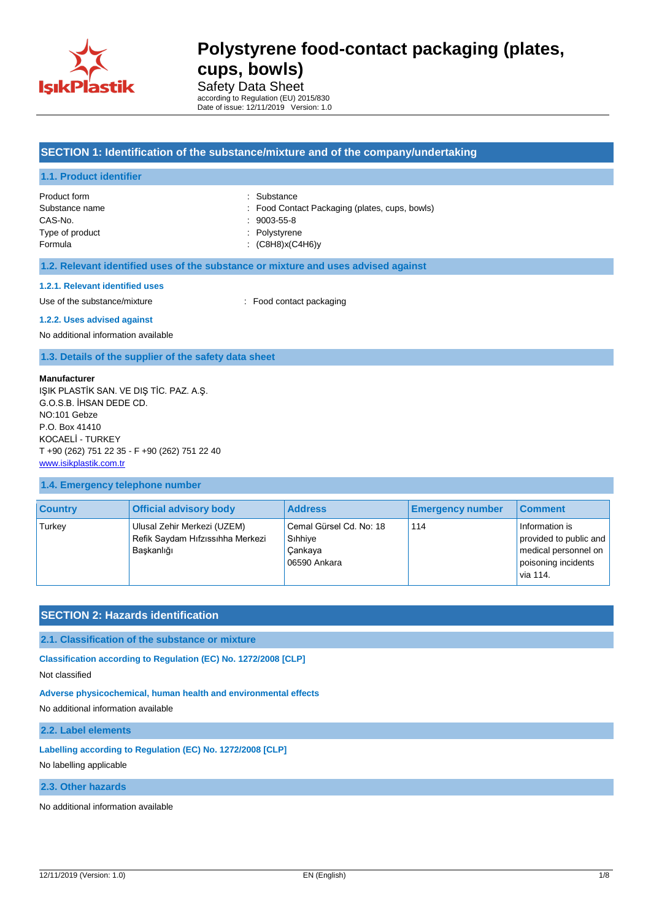

Safety Data Sheet according to Regulation (EU) 2015/830 Date of issue: 12/11/2019 Version: 1.0

### **SECTION 1: Identification of the substance/mixture and of the company/undertaking**

### **1.1. Product identifier**

| Product form    | : Substance                                    |
|-----------------|------------------------------------------------|
| Substance name  | : Food Contact Packaging (plates, cups, bowls) |
| CAS-No.         | $: 9003 - 55 - 8$                              |
| Type of product | : Polystyrene                                  |
| Formula         | (C8H8)x(C4H6)y                                 |
|                 |                                                |

### **1.2. Relevant identified uses of the substance or mixture and uses advised against**

### **1.2.1. Relevant identified uses**

Use of the substance/mixture  $\qquad \qquad : \qquad$  Food contact packaging

### **1.2.2. Uses advised against**

No additional information available

**1.3. Details of the supplier of the safety data sheet**

### **Manufacturer**

IŞIK PLASTİK SAN. VE DIŞ TİC. PAZ. A.Ş. G.O.S.B. İHSAN DEDE CD. NO:101 Gebze P.O. Box 41410 KOCAELİ - TURKEY T +90 (262) 751 22 35 - F +90 (262) 751 22 40 [www.isikplastik.com.tr](../../../AppData/Local/Temp/www.isikplastik.com.tr)

### **1.4. Emergency telephone number**

| <b>Country</b> | <b>Official advisory body</b>                                                 | <b>Address</b>                                                | <b>Emergency number</b> | <b>Comment</b>                                                                                      |
|----------------|-------------------------------------------------------------------------------|---------------------------------------------------------------|-------------------------|-----------------------------------------------------------------------------------------------------|
| Turkey         | Ulusal Zehir Merkezi (UZEM)<br>Refik Saydam Hıfzıssıhha Merkezi<br>Baskanlığı | Cemal Gürsel Cd. No: 18<br>Sihhiye<br>Cankaya<br>06590 Ankara | 114                     | Information is<br>provided to public and<br>medical personnel on<br>poisoning incidents<br>via 114. |

### **SECTION 2: Hazards identification**

### **2.1. Classification of the substance or mixture**

**Classification according to Regulation (EC) No. 1272/2008 [CLP]**

Not classified

### **Adverse physicochemical, human health and environmental effects**

No additional information available

## **2.2. Label elements**

**Labelling according to Regulation (EC) No. 1272/2008 [CLP]**

No labelling applicable

### **2.3. Other hazards**

No additional information available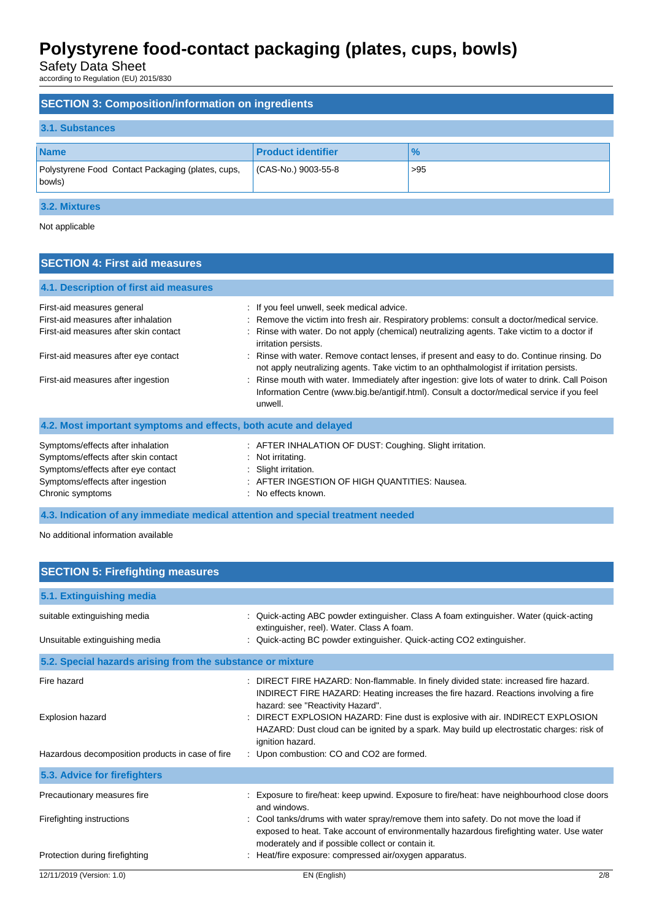Safety Data Sheet

according to Regulation (EU) 2015/830

| <b>SECTION 3: Composition/information on ingredients</b>    |                           |               |  |  |
|-------------------------------------------------------------|---------------------------|---------------|--|--|
| 3.1. Substances                                             |                           |               |  |  |
| <b>Name</b>                                                 | <b>Product identifier</b> | $\frac{9}{6}$ |  |  |
| Polystyrene Food Contact Packaging (plates, cups,<br>bowls) | CAS-No.) 9003-55-8        | >95           |  |  |
| 3.2. Mixtures                                               |                           |               |  |  |

Not applicable

## **SECTION 4: First aid measures**

| 4.1. Description of first aid measures                                                                                                                                 |                                                                                                                                                                                                          |  |  |
|------------------------------------------------------------------------------------------------------------------------------------------------------------------------|----------------------------------------------------------------------------------------------------------------------------------------------------------------------------------------------------------|--|--|
| First-aid measures general                                                                                                                                             | : If you feel unwell, seek medical advice.                                                                                                                                                               |  |  |
| First-aid measures after inhalation                                                                                                                                    | : Remove the victim into fresh air. Respiratory problems: consult a doctor/medical service.                                                                                                              |  |  |
| First-aid measures after skin contact                                                                                                                                  | : Rinse with water. Do not apply (chemical) neutralizing agents. Take victim to a doctor if<br>irritation persists.                                                                                      |  |  |
| First-aid measures after eye contact                                                                                                                                   | : Rinse with water. Remove contact lenses, if present and easy to do. Continue rinsing. Do<br>not apply neutralizing agents. Take victim to an ophthalmologist if irritation persists.                   |  |  |
| First-aid measures after ingestion                                                                                                                                     | : Rinse mouth with water. Immediately after ingestion: give lots of water to drink. Call Poison<br>Information Centre (www.big.be/antigif.html). Consult a doctor/medical service if you feel<br>unwell. |  |  |
| 4.2. Most important symptoms and effects, both acute and delayed                                                                                                       |                                                                                                                                                                                                          |  |  |
| Symptoms/effects after inhalation<br>Symptoms/effects after skin contact<br>Symptoms/effects after eye contact<br>Symptoms/effects after ingestion<br>Chronic symptoms | : AFTER INHALATION OF DUST: Coughing. Slight irritation.<br>$:$ Not irritating.<br>Slight irritation.<br>: AFTER INGESTION OF HIGH QUANTITIES: Nausea.<br>: No effects known.                            |  |  |

**4.3. Indication of any immediate medical attention and special treatment needed**

No additional information available

| <b>SECTION 5: Firefighting measures</b>                        |                                                                                                                                                                                                                                                                                                 |     |
|----------------------------------------------------------------|-------------------------------------------------------------------------------------------------------------------------------------------------------------------------------------------------------------------------------------------------------------------------------------------------|-----|
| 5.1. Extinguishing media                                       |                                                                                                                                                                                                                                                                                                 |     |
| suitable extinguishing media<br>Unsuitable extinguishing media | Quick-acting ABC powder extinguisher. Class A foam extinguisher. Water (quick-acting<br>extinguisher, reel). Water. Class A foam.<br>Quick-acting BC powder extinguisher. Quick-acting CO2 extinguisher.                                                                                        |     |
| 5.2. Special hazards arising from the substance or mixture     |                                                                                                                                                                                                                                                                                                 |     |
| Fire hazard<br>Explosion hazard                                | : DIRECT FIRE HAZARD: Non-flammable. In finely divided state: increased fire hazard.<br>INDIRECT FIRE HAZARD: Heating increases the fire hazard. Reactions involving a fire<br>hazard: see "Reactivity Hazard".<br>DIRECT EXPLOSION HAZARD: Fine dust is explosive with air. INDIRECT EXPLOSION |     |
| Hazardous decomposition products in case of fire               | HAZARD: Dust cloud can be ignited by a spark. May build up electrostatic charges: risk of<br>ignition hazard.<br>: Upon combustion: CO and CO2 are formed.                                                                                                                                      |     |
| 5.3. Advice for firefighters                                   |                                                                                                                                                                                                                                                                                                 |     |
| Precautionary measures fire                                    | Exposure to fire/heat: keep upwind. Exposure to fire/heat: have neighbourhood close doors<br>and windows.                                                                                                                                                                                       |     |
| Firefighting instructions                                      | Cool tanks/drums with water spray/remove them into safety. Do not move the load if<br>exposed to heat. Take account of environmentally hazardous firefighting water. Use water<br>moderately and if possible collect or contain it.                                                             |     |
| Protection during firefighting                                 | Heat/fire exposure: compressed air/oxygen apparatus.                                                                                                                                                                                                                                            |     |
| 12/11/2019 (Version: 1.0)                                      | EN (English)                                                                                                                                                                                                                                                                                    | 2/8 |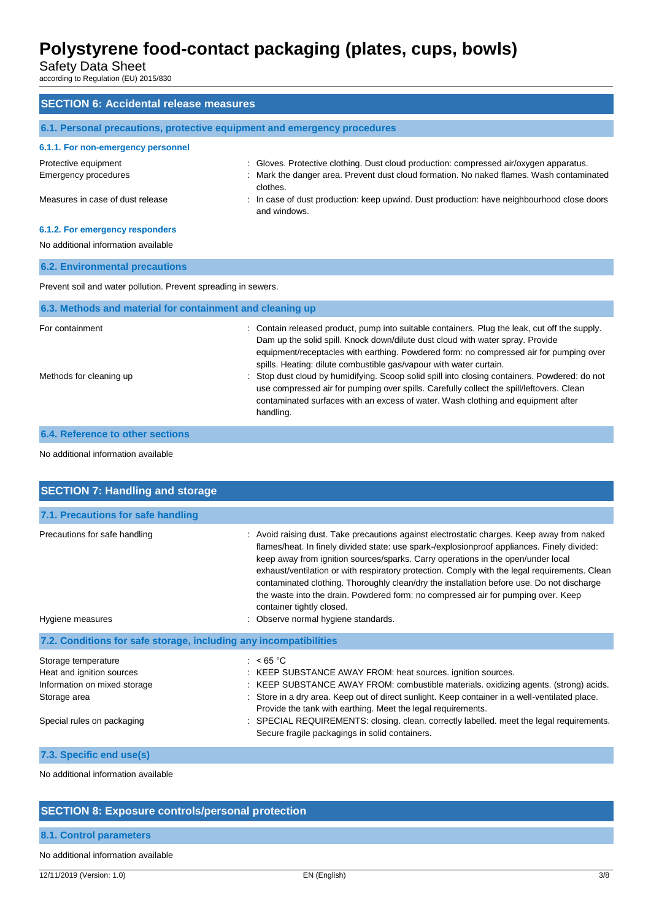Safety Data Sheet

according to Regulation (EU) 2015/830

| <b>SECTION 6: Accidental release measures</b>                            |                                                                                                                                                                                                                                                                                                                                               |  |  |
|--------------------------------------------------------------------------|-----------------------------------------------------------------------------------------------------------------------------------------------------------------------------------------------------------------------------------------------------------------------------------------------------------------------------------------------|--|--|
| 6.1. Personal precautions, protective equipment and emergency procedures |                                                                                                                                                                                                                                                                                                                                               |  |  |
| 6.1.1. For non-emergency personnel                                       |                                                                                                                                                                                                                                                                                                                                               |  |  |
| Protective equipment<br><b>Emergency procedures</b>                      | : Gloves. Protective clothing. Dust cloud production: compressed air/oxygen apparatus.<br>Mark the danger area. Prevent dust cloud formation. No naked flames. Wash contaminated<br>clothes.                                                                                                                                                  |  |  |
| Measures in case of dust release                                         | : In case of dust production: keep upwind. Dust production: have neighbourhood close doors<br>and windows.                                                                                                                                                                                                                                    |  |  |
| 6.1.2. For emergency responders                                          |                                                                                                                                                                                                                                                                                                                                               |  |  |
| No additional information available                                      |                                                                                                                                                                                                                                                                                                                                               |  |  |
| <b>6.2. Environmental precautions</b>                                    |                                                                                                                                                                                                                                                                                                                                               |  |  |
| Prevent soil and water pollution. Prevent spreading in sewers.           |                                                                                                                                                                                                                                                                                                                                               |  |  |
| 6.3. Methods and material for containment and cleaning up                |                                                                                                                                                                                                                                                                                                                                               |  |  |
| For containment                                                          | Contain released product, pump into suitable containers. Plug the leak, cut off the supply.<br>Dam up the solid spill. Knock down/dilute dust cloud with water spray. Provide<br>equipment/receptacles with earthing. Powdered form: no compressed air for pumping over<br>spills. Heating: dilute combustible gas/vapour with water curtain. |  |  |
| Methods for cleaning up                                                  | Stop dust cloud by humidifying. Scoop solid spill into closing containers. Powdered: do not<br>use compressed air for pumping over spills. Carefully collect the spill/leftovers. Clean<br>contaminated surfaces with an excess of water. Wash clothing and equipment after<br>handling.                                                      |  |  |
| 6.4. Reference to other sections                                         |                                                                                                                                                                                                                                                                                                                                               |  |  |

### No additional information available

| <b>SECTION 7: Handling and storage</b>                                                                                         |                                                                                                                                                                                                                                                                                                                                                                                                                                                                                                                                                                                                                                    |  |  |
|--------------------------------------------------------------------------------------------------------------------------------|------------------------------------------------------------------------------------------------------------------------------------------------------------------------------------------------------------------------------------------------------------------------------------------------------------------------------------------------------------------------------------------------------------------------------------------------------------------------------------------------------------------------------------------------------------------------------------------------------------------------------------|--|--|
| 7.1. Precautions for safe handling                                                                                             |                                                                                                                                                                                                                                                                                                                                                                                                                                                                                                                                                                                                                                    |  |  |
| Precautions for safe handling<br>Hygiene measures                                                                              | : Avoid raising dust. Take precautions against electrostatic charges. Keep away from naked<br>flames/heat. In finely divided state: use spark-/explosionproof appliances. Finely divided:<br>keep away from ignition sources/sparks. Carry operations in the open/under local<br>exhaust/ventilation or with respiratory protection. Comply with the legal requirements. Clean<br>contaminated clothing. Thoroughly clean/dry the installation before use. Do not discharge<br>the waste into the drain. Powdered form: no compressed air for pumping over. Keep<br>container tightly closed.<br>Observe normal hygiene standards. |  |  |
| 7.2. Conditions for safe storage, including any incompatibilities                                                              |                                                                                                                                                                                                                                                                                                                                                                                                                                                                                                                                                                                                                                    |  |  |
| Storage temperature<br>Heat and ignition sources<br>Information on mixed storage<br>Storage area<br>Special rules on packaging | : $< 65 °C$<br>: KEEP SUBSTANCE AWAY FROM: heat sources. ignition sources.<br>: KEEP SUBSTANCE AWAY FROM: combustible materials. oxidizing agents. (strong) acids.<br>Store in a dry area. Keep out of direct sunlight. Keep container in a well-ventilated place.<br>Provide the tank with earthing. Meet the legal requirements.<br>: SPECIAL REQUIREMENTS: closing. clean. correctly labelled. meet the legal requirements.<br>Secure fragile packagings in solid containers.                                                                                                                                                   |  |  |
| 7.3. Specific end use(s)                                                                                                       |                                                                                                                                                                                                                                                                                                                                                                                                                                                                                                                                                                                                                                    |  |  |

No additional information available

## **SECTION 8: Exposure controls/personal protection**

## **8.1. Control parameters**

### No additional information available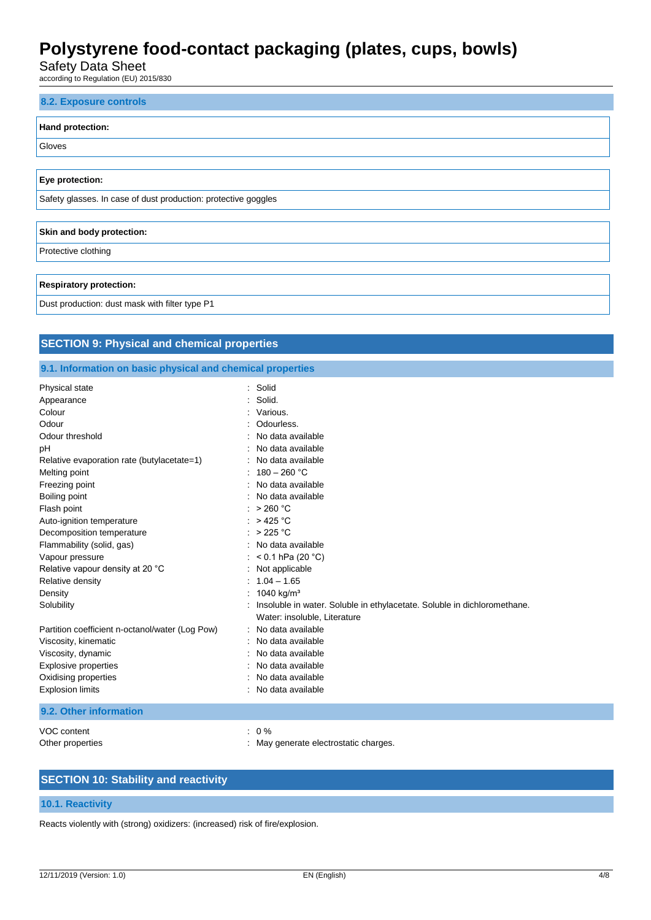Safety Data Sheet

according to Regulation (EU) 2015/830

# **8.2. Exposure controls Hand protection:** Gloves **Eye protection:** Safety glasses. In case of dust production: protective goggles **Skin and body protection:** Protective clothing **Respiratory protection:** Dust production: dust mask with filter type P1

## **SECTION 9: Physical and chemical properties**

## **9.1. Information on basic physical and chemical properties**

| Physical state                                  | Solid                                                                    |
|-------------------------------------------------|--------------------------------------------------------------------------|
| Appearance                                      | Solid.                                                                   |
| Colour                                          | Various.                                                                 |
| Odour                                           | Odourless.                                                               |
| Odour threshold                                 | No data available                                                        |
| pН                                              | No data available                                                        |
| Relative evaporation rate (butylacetate=1)      | No data available                                                        |
| Melting point                                   | $180 - 260$ °C                                                           |
| Freezing point                                  | No data available                                                        |
| Boiling point                                   | No data available                                                        |
| Flash point                                     | $>$ 260 °C                                                               |
| Auto-ignition temperature                       | $>$ 425 °C                                                               |
| Decomposition temperature                       | $>225$ °C                                                                |
| Flammability (solid, gas)                       | No data available                                                        |
| Vapour pressure                                 | < 0.1 hPa (20 $^{\circ}$ C)                                              |
| Relative vapour density at 20 °C                | Not applicable                                                           |
| Relative density                                | $1.04 - 1.65$                                                            |
| Density                                         | 1040 kg/m <sup>3</sup>                                                   |
| Solubility                                      | Insoluble in water. Soluble in ethylacetate. Soluble in dichloromethane. |
|                                                 | Water: insoluble, Literature                                             |
| Partition coefficient n-octanol/water (Log Pow) | No data available                                                        |
| Viscosity, kinematic                            | No data available                                                        |
| Viscosity, dynamic                              | No data available                                                        |
| Explosive properties                            | No data available                                                        |
| Oxidising properties                            | No data available                                                        |
| <b>Explosion limits</b>                         | No data available                                                        |
| 9.2. Other information                          |                                                                          |
|                                                 |                                                                          |

VOC content : 0 % Other properties **in the contract of the contract of the contract of the contract of the contract of the contract of the contract of the contract of the contract of the contract of the contract of the contract of the contr** 

- 
- **SECTION 10: Stability and reactivity**

### **10.1. Reactivity**

Reacts violently with (strong) oxidizers: (increased) risk of fire/explosion.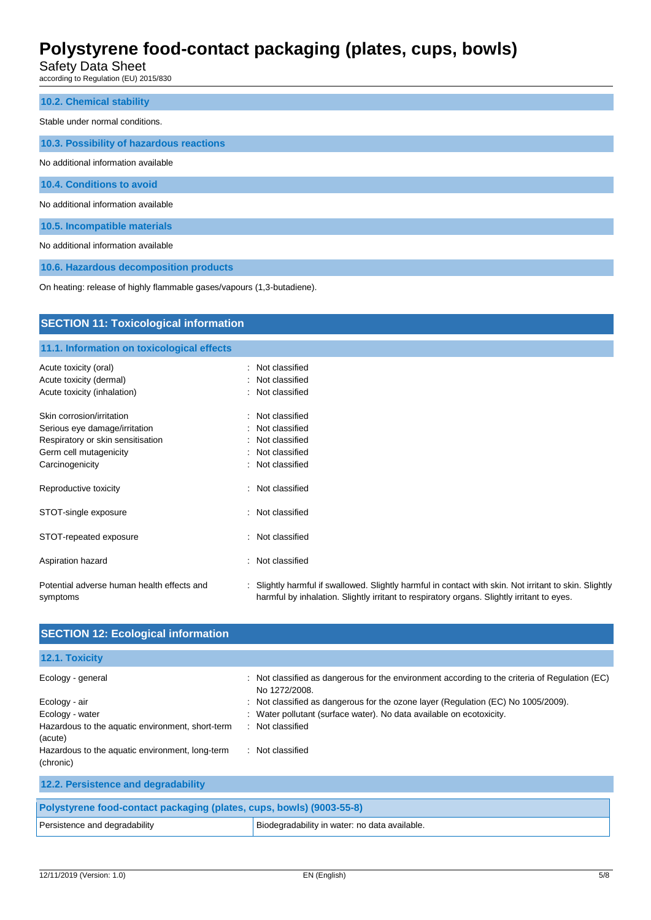Safety Data Sheet

according to Regulation (EU) 2015/830

| <b>10.2. Chemical stability</b>          |
|------------------------------------------|
| Stable under normal conditions.          |
| 10.3. Possibility of hazardous reactions |
| No additional information available      |
| 10.4. Conditions to avoid                |
| No additional information available      |
| 10.5. Incompatible materials             |
| No additional information available      |
| 10.6. Hazardous decomposition products   |

On heating: release of highly flammable gases/vapours (1,3-butadiene).

| <b>SECTION 11: Toxicological information</b>                       |  |                                                                                                                                                                                                      |  |
|--------------------------------------------------------------------|--|------------------------------------------------------------------------------------------------------------------------------------------------------------------------------------------------------|--|
| 11.1. Information on toxicological effects                         |  |                                                                                                                                                                                                      |  |
| Acute toxicity (oral)                                              |  | : Not classified                                                                                                                                                                                     |  |
| Acute toxicity (dermal)<br>Acute toxicity (inhalation)             |  | : Not classified<br>: Not classified                                                                                                                                                                 |  |
| Skin corrosion/irritation                                          |  | : Not classified                                                                                                                                                                                     |  |
| Serious eye damage/irritation<br>Respiratory or skin sensitisation |  | : Not classified<br>: Not classified                                                                                                                                                                 |  |
| Germ cell mutagenicity                                             |  | : Not classified                                                                                                                                                                                     |  |
| Carcinogenicity                                                    |  | : Not classified                                                                                                                                                                                     |  |
| Reproductive toxicity                                              |  | : Not classified                                                                                                                                                                                     |  |
| STOT-single exposure                                               |  | : Not classified                                                                                                                                                                                     |  |
| STOT-repeated exposure                                             |  | : Not classified                                                                                                                                                                                     |  |
| Aspiration hazard                                                  |  | : Not classified                                                                                                                                                                                     |  |
| Potential adverse human health effects and<br>symptoms             |  | : Slightly harmful if swallowed. Slightly harmful in contact with skin. Not irritant to skin. Slightly<br>harmful by inhalation. Slightly irritant to respiratory organs. Slightly irritant to eyes. |  |

| <b>SECTION 12: Ecological information</b>                            |                                                                                                               |
|----------------------------------------------------------------------|---------------------------------------------------------------------------------------------------------------|
| 12.1. Toxicity                                                       |                                                                                                               |
| Ecology - general                                                    | Not classified as dangerous for the environment according to the criteria of Regulation (EC)<br>No 1272/2008. |
| Ecology - air                                                        | Not classified as dangerous for the ozone layer (Regulation (EC) No 1005/2009).                               |
| Ecology - water                                                      | Water pollutant (surface water). No data available on ecotoxicity.                                            |
| Hazardous to the aquatic environment, short-term<br>(acute)          | : Not classified                                                                                              |
| Hazardous to the aquatic environment, long-term<br>(chronic)         | : Not classified                                                                                              |
| 12.2. Persistence and degradability                                  |                                                                                                               |
| Polystyrene food-contact packaging (plates, cups, bowls) (9003-55-8) |                                                                                                               |
| Persistence and degradability                                        | Biodegradability in water: no data available.                                                                 |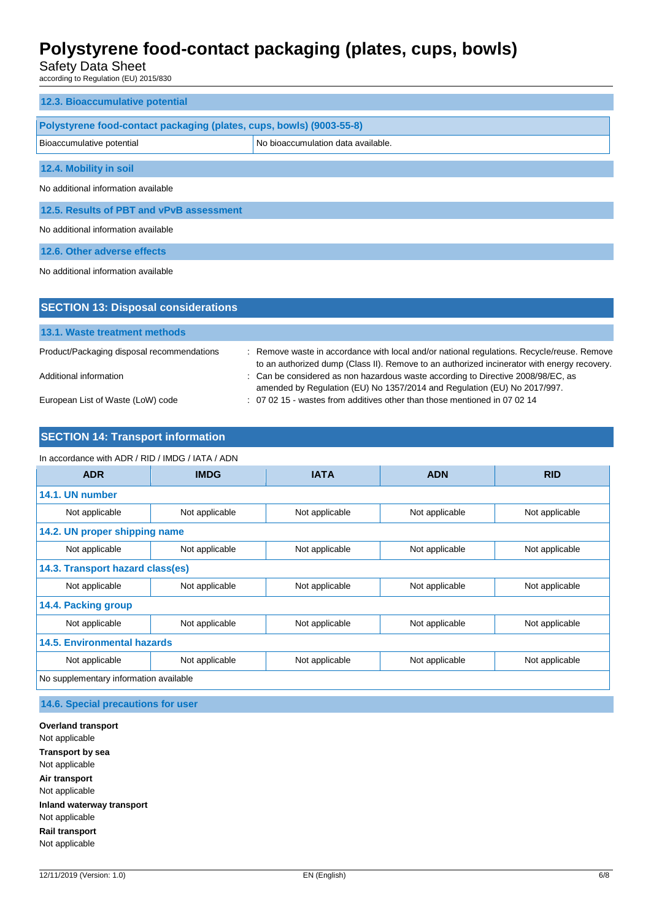Safety Data Sheet

according to Regulation (EU) 2015/830

| 12.3. Bioaccumulative potential                                      |                                    |  |  |
|----------------------------------------------------------------------|------------------------------------|--|--|
| Polystyrene food-contact packaging (plates, cups, bowls) (9003-55-8) |                                    |  |  |
| Bioaccumulative potential                                            | No bioaccumulation data available. |  |  |
| 12.4. Mobility in soil                                               |                                    |  |  |
| No additional information available                                  |                                    |  |  |
| 12.5. Results of PBT and vPvB assessment                             |                                    |  |  |
| No additional information available                                  |                                    |  |  |
| 12.6. Other adverse effects                                          |                                    |  |  |
| No additional information available                                  |                                    |  |  |
|                                                                      |                                    |  |  |
| <b>SECTION 13: Disposal considerations</b>                           |                                    |  |  |
| 13.1. Waste treatment methods                                        |                                    |  |  |

Product/Packaging disposal recommendations : Remove waste in accordance with local and/or national regulations. Recycle/reuse. Remove

to an authorized dump (Class II). Remove to an authorized incinerator with energy recovery. Additional information **interest as the considered as non hazardous waste according to Directive 2008/98/EC, as** amended by Regulation (EU) No 1357/2014 and Regulation (EU) No 2017/997. European List of Waste (LoW) code : 07 02 15 - wastes from additives other than those mentioned in 07 02 14

## **SECTION 14: Transport information**

### In accordance with ADR / RID / IMDG / IATA / ADN

| <b>ADR</b>                             | <b>IMDG</b>    | <b>IATA</b>    | <b>ADN</b>     | <b>RID</b>     |  |  |
|----------------------------------------|----------------|----------------|----------------|----------------|--|--|
| 14.1. UN number                        |                |                |                |                |  |  |
| Not applicable                         | Not applicable | Not applicable | Not applicable | Not applicable |  |  |
| 14.2. UN proper shipping name          |                |                |                |                |  |  |
| Not applicable                         | Not applicable | Not applicable | Not applicable | Not applicable |  |  |
| 14.3. Transport hazard class(es)       |                |                |                |                |  |  |
| Not applicable                         | Not applicable | Not applicable | Not applicable | Not applicable |  |  |
| 14.4. Packing group                    |                |                |                |                |  |  |
| Not applicable                         | Not applicable | Not applicable | Not applicable | Not applicable |  |  |
| <b>14.5. Environmental hazards</b>     |                |                |                |                |  |  |
| Not applicable                         | Not applicable | Not applicable | Not applicable | Not applicable |  |  |
| No supplementary information available |                |                |                |                |  |  |

**14.6. Special precautions for user**

**Overland transport** Not applicable **Transport by sea** Not applicable **Air transport** Not applicable **Inland waterway transport** Not applicable **Rail transport** Not applicable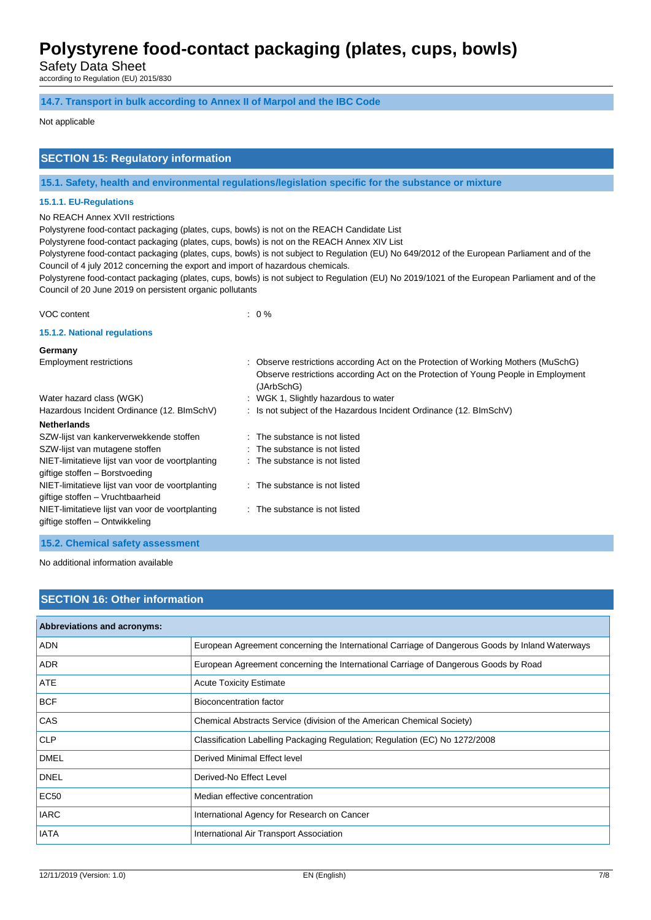Safety Data Sheet

according to Regulation (EU) 2015/830

### **14.7. Transport in bulk according to Annex II of Marpol and the IBC Code**

### Not applicable

## **SECTION 15: Regulatory information**

**15.1. Safety, health and environmental regulations/legislation specific for the substance or mixture**

### **15.1.1. EU-Regulations**

No REACH Annex XVII restrictions

Polystyrene food-contact packaging (plates, cups, bowls) is not on the REACH Candidate List

Polystyrene food-contact packaging (plates, cups, bowls) is not on the REACH Annex XIV List

Polystyrene food-contact packaging (plates, cups, bowls) is not subject to Regulation (EU) No 649/2012 of the European Parliament and of the Council of 4 july 2012 concerning the export and import of hazardous chemicals.

Polystyrene food-contact packaging (plates, cups, bowls) is not subject to Regulation (EU) No 2019/1021 of the European Parliament and of the Council of 20 June 2019 on persistent organic pollutants

### VOC content : 0 %

### **15.1.2. National regulations**

| Germany                                                                              |                                                                                                                                                                                        |
|--------------------------------------------------------------------------------------|----------------------------------------------------------------------------------------------------------------------------------------------------------------------------------------|
| <b>Employment restrictions</b>                                                       | : Observe restrictions according Act on the Protection of Working Mothers (MuSchG)<br>Observe restrictions according Act on the Protection of Young People in Employment<br>(JArbSchG) |
| Water hazard class (WGK)                                                             | : WGK 1, Slightly hazardous to water                                                                                                                                                   |
| Hazardous Incident Ordinance (12. BlmSchV)                                           | : Is not subject of the Hazardous Incident Ordinance (12. BImSchV)                                                                                                                     |
| <b>Netherlands</b>                                                                   |                                                                                                                                                                                        |
| SZW-lijst van kankerverwekkende stoffen                                              | : The substance is not listed                                                                                                                                                          |
| SZW-lijst van mutagene stoffen                                                       | $\therefore$ The substance is not listed                                                                                                                                               |
| NIET-limitatieve lijst van voor de voortplanting<br>giftige stoffen - Borstvoeding   | : The substance is not listed                                                                                                                                                          |
| NIET-limitatieve lijst van voor de voortplanting<br>giftige stoffen - Vruchtbaarheid | $\therefore$ The substance is not listed                                                                                                                                               |
| NIET-limitatieve lijst van voor de voortplanting<br>giftige stoffen – Ontwikkeling   | : The substance is not listed                                                                                                                                                          |
|                                                                                      |                                                                                                                                                                                        |

**15.2. Chemical safety assessment**

No additional information available

## **SECTION 16: Other information**

| Abbreviations and acronyms: |                                                                                                 |
|-----------------------------|-------------------------------------------------------------------------------------------------|
| ADN                         | European Agreement concerning the International Carriage of Dangerous Goods by Inland Waterways |
| <b>ADR</b>                  | European Agreement concerning the International Carriage of Dangerous Goods by Road             |
| ATE                         | <b>Acute Toxicity Estimate</b>                                                                  |
| <b>BCF</b>                  | <b>Bioconcentration factor</b>                                                                  |
| CAS                         | Chemical Abstracts Service (division of the American Chemical Society)                          |
| <b>CLP</b>                  | Classification Labelling Packaging Regulation; Regulation (EC) No 1272/2008                     |
| <b>DMEL</b>                 | Derived Minimal Effect level                                                                    |
| <b>DNEL</b>                 | Derived-No Effect Level                                                                         |
| <b>EC50</b>                 | Median effective concentration                                                                  |
| <b>IARC</b>                 | International Agency for Research on Cancer                                                     |
| <b>IATA</b>                 | International Air Transport Association                                                         |